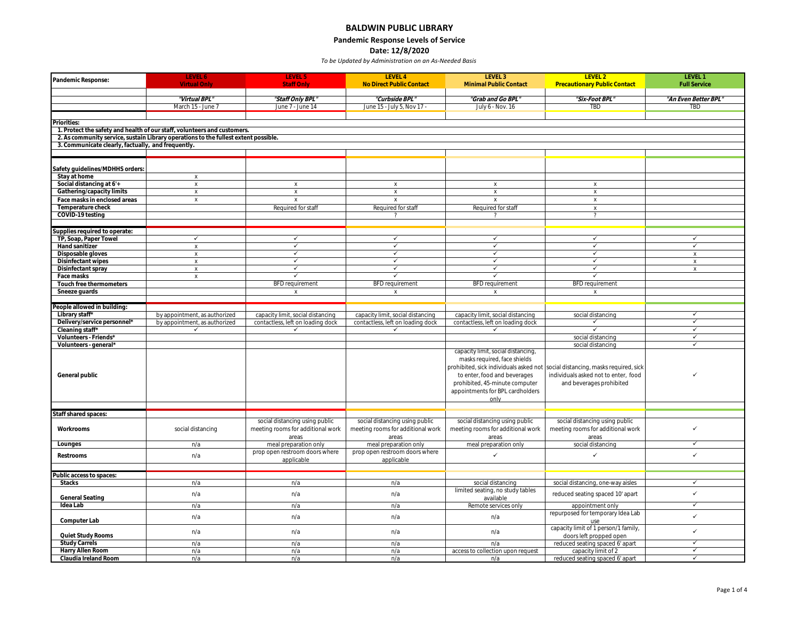# **BALDWIN PUBLIC LIBRARY**

**Pandemic Response Levels of Service**

**Date: 12/8/2020**

| Pandemic Response:                                | <b>LEVEL 6</b><br><b>Virtual Only</b>                                               | LEVEL 5<br><b>Staff Only</b>                 | LEVEL 4<br>No Direct Public Contact          | LEVEL 3<br>Minimal Public Contact        | LEVEL 2<br><b>Precautionary Public Contact</b>                                 | LEVEL 1<br><b>Full Service</b> |
|---------------------------------------------------|-------------------------------------------------------------------------------------|----------------------------------------------|----------------------------------------------|------------------------------------------|--------------------------------------------------------------------------------|--------------------------------|
|                                                   |                                                                                     |                                              |                                              |                                          |                                                                                |                                |
|                                                   | "Virtual BPL"                                                                       | "Staff Only BPL"                             | "Curbside BPL"                               | "Grab and Go BPL"                        | "Six-Foot BPL"                                                                 | "An Even Better BPL            |
|                                                   | March 15 - June 7                                                                   | June 7 - June 14                             | June 15 - July 5, Nov 17 -                   | July 6 - Nov. 16                         | <b>TBD</b>                                                                     | TBD                            |
|                                                   |                                                                                     |                                              |                                              |                                          |                                                                                |                                |
| Priorities:                                       | 1. Protect the safety and health of our staff, volunteers and customers.            |                                              |                                              |                                          |                                                                                |                                |
|                                                   | 2. As community service, sustain Library operations to the fullest extent possible. |                                              |                                              |                                          |                                                                                |                                |
| 3. Communicate clearly, factually, and frequently |                                                                                     |                                              |                                              |                                          |                                                                                |                                |
|                                                   |                                                                                     |                                              |                                              |                                          |                                                                                |                                |
|                                                   |                                                                                     |                                              |                                              |                                          |                                                                                |                                |
| Safety guidelines/MDHHS orders:                   |                                                                                     |                                              |                                              |                                          |                                                                                |                                |
| Stay at home<br>Social distancing at 6'+          | $\mathsf X$                                                                         |                                              |                                              |                                          |                                                                                |                                |
| Gathering/capacity limits                         | $\chi$<br>$\chi$                                                                    | $\chi$<br>$\mathsf{X}$                       | $\mathsf X$<br>$\mathsf{X}$                  | $\chi$<br>$\mathsf{X}$                   | $\chi$<br>$\mathsf X$                                                          |                                |
| Face masks in enclosed areas                      | $\chi$                                                                              | $\chi$                                       | $\mathsf X$                                  | $\times$                                 | $\mathsf X$                                                                    |                                |
| Temperature check                                 |                                                                                     | Required for staff                           | Required for staff                           | Required for staff                       | $\mathsf X$                                                                    |                                |
| COVID-19 testing                                  |                                                                                     |                                              |                                              |                                          | $\overline{\phantom{a}}$                                                       |                                |
|                                                   |                                                                                     |                                              |                                              |                                          |                                                                                |                                |
| Supplies required to operate:                     |                                                                                     |                                              |                                              |                                          |                                                                                |                                |
| TP, Soap, Paper Towel<br>Hand sanitizer           | $\checkmark$<br>$\boldsymbol{\mathsf{x}}$                                           | $\checkmark$<br>$\overline{\checkmark}$      | $\checkmark$<br>$\overline{\checkmark}$      | $\checkmark$<br>✓                        | $\checkmark$<br>✓                                                              | ✓<br>$\overline{\checkmark}$   |
| Disposable gloves                                 | $\chi$                                                                              | $\checkmark$                                 | $\checkmark$                                 | $\checkmark$                             | $\checkmark$                                                                   | $\times$                       |
| Disinfectant wipes                                | $\chi$                                                                              | $\checkmark$                                 | $\checkmark$                                 | $\checkmark$                             | $\checkmark$                                                                   | $\mathsf X$                    |
| Disinfectant spray                                | $\chi$                                                                              | $\checkmark$                                 | $\checkmark$                                 | $\checkmark$                             | ✓                                                                              | $\mathsf X$                    |
| Face masks                                        | $\boldsymbol{\mathsf{X}}$                                                           | $\checkmark$                                 | $\checkmark$                                 | ✓                                        | ✓                                                                              |                                |
| Touch free thermometers                           |                                                                                     | BFD requirement                              | <b>BFD</b> requirement                       | <b>BFD</b> requirement                   | <b>BFD</b> requirement                                                         |                                |
| Sneeze guards                                     |                                                                                     | $\times$                                     | X                                            | X                                        | $\mathsf X$                                                                    |                                |
| People allowed in building:                       |                                                                                     |                                              |                                              |                                          |                                                                                |                                |
| Library staff*                                    | by appointment, as authorized                                                       | capacity limit, social distancing            | capacity limit, social distancing            | capacity limit, social distancing        | social distancing                                                              | $\checkmark$                   |
| Delivery/service personnel*                       | by appointment, as authorized                                                       | contactless, left on loading dock            | contactless, left on loading dock            | contactless, left on loading dock        | $\checkmark$                                                                   | $\checkmark$                   |
| Cleaning staff*                                   | $\checkmark$                                                                        | $\checkmark$                                 | $\checkmark$                                 | $\checkmark$                             | $\overline{\checkmark}$                                                        | $\overline{\checkmark}$        |
| Volunteers - Friends*                             |                                                                                     |                                              |                                              |                                          | social distancing                                                              | $\checkmark$<br>✓              |
| Volunteers - general*                             |                                                                                     |                                              |                                              | capacity limit, social distancing,       | social distancing                                                              |                                |
|                                                   |                                                                                     |                                              |                                              | masks required, face shields             |                                                                                |                                |
|                                                   |                                                                                     |                                              |                                              |                                          | prohibited, sick individuals asked not social distancing, masks required, sick |                                |
| General public                                    |                                                                                     |                                              |                                              | to enter, food and beverages             | individuals asked not to enter, food                                           | ✓                              |
|                                                   |                                                                                     |                                              |                                              | prohibited, 45-minute computer           | and beverages prohibited                                                       |                                |
|                                                   |                                                                                     |                                              |                                              | appointments for BPL cardholders         |                                                                                |                                |
|                                                   |                                                                                     |                                              |                                              | only                                     |                                                                                |                                |
| Staff shared spaces:                              |                                                                                     |                                              |                                              |                                          |                                                                                |                                |
|                                                   |                                                                                     | social distancing using public               | social distancing using public               | social distancing using public           | social distancing using public                                                 |                                |
| Workrooms                                         | social distancing                                                                   | meeting rooms for additional work            | meeting rooms for additional work            | meeting rooms for additional work        | meeting rooms for additional work                                              | $\checkmark$                   |
|                                                   |                                                                                     | areas                                        | areas                                        | areas                                    | areas                                                                          |                                |
| Lounges                                           | n/a                                                                                 | meal preparation only                        | meal preparation only                        | meal preparation only                    | social distancing                                                              | $\checkmark$                   |
| Restrooms                                         | n/a                                                                                 | prop open restroom doors where<br>applicable | prop open restroom doors where<br>applicable | ✓                                        | ✓                                                                              | ✓                              |
|                                                   |                                                                                     |                                              |                                              |                                          |                                                                                |                                |
| Public access to spaces:                          |                                                                                     |                                              |                                              |                                          |                                                                                |                                |
| <b>Stacks</b>                                     | n/a                                                                                 | n/a                                          | n/a                                          | social distancing                        | social distancing, one-way aisles                                              | $\checkmark$                   |
|                                                   | n/a                                                                                 | n/a                                          | n/a                                          | limited seating, no study tables         | reduced seating spaced 10' apart                                               | $\checkmark$                   |
| General Seating<br>Idea Lab                       |                                                                                     |                                              |                                              | available<br>Remote services only        |                                                                                | $\checkmark$                   |
|                                                   | n/a                                                                                 | n/a                                          | n/a                                          |                                          | appointment only<br>repurposed for temporary Idea Lab                          |                                |
| Computer Lab                                      | n/a                                                                                 | n/a                                          | n/a                                          | n/a                                      | use                                                                            | $\checkmark$                   |
|                                                   | n/a                                                                                 | n/a                                          | n/a                                          | n/a                                      | capacity limit of 1 person/1 family,                                           | $\checkmark$                   |
| Quiet Study Rooms                                 |                                                                                     |                                              |                                              |                                          | doors left propped open                                                        |                                |
| <b>Study Carrels</b>                              | n/a                                                                                 | n/a                                          | n/a                                          | n/a                                      | reduced seating spaced 6' apart                                                | $\checkmark$<br>✓              |
| Harry Allen Room<br>Claudia Ireland Room          | n/a<br>n/a                                                                          | n/a<br>n/a                                   | n/a<br>n/a                                   | access to collection upon request<br>n/a | capacity limit of 2<br>reduced seating spaced 6' apart                         | $\checkmark$                   |
|                                                   |                                                                                     |                                              |                                              |                                          |                                                                                |                                |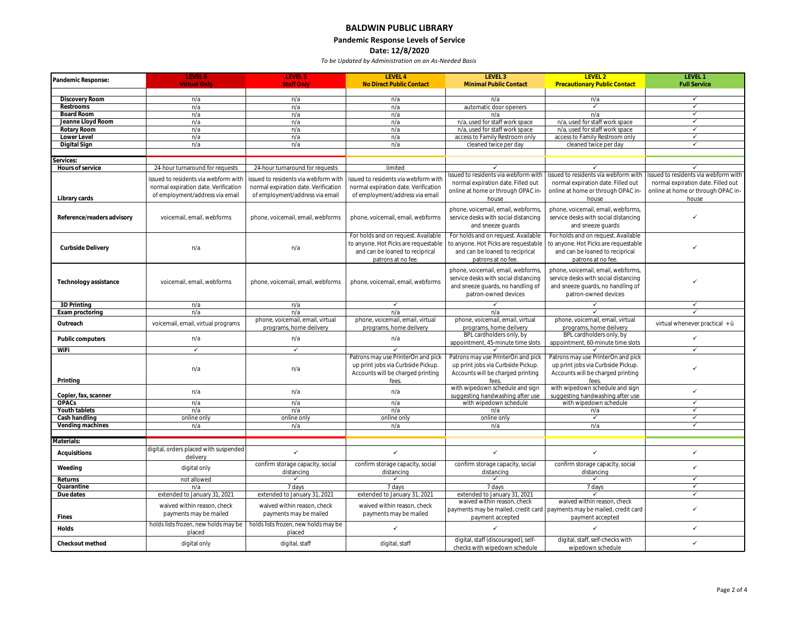## **BALDWIN PUBLIC LIBRARY Pandemic Response Levels of Service**

### **Date: 12/8/2020**

| Pandemic Response:         | LEVEL 6                                        | LEVEL 5                                        | LEVEL 4                              | LEVEL 3                              | LEVEL 2                              | LEVEL 1                             |
|----------------------------|------------------------------------------------|------------------------------------------------|--------------------------------------|--------------------------------------|--------------------------------------|-------------------------------------|
|                            |                                                | <b>Staff Only</b>                              | No Direct Public Contact             | Minimal Public Contact               | <b>Precautionary Public Contact</b>  | <b>Full Service</b>                 |
| Discovery Room             | n/a                                            | n/a                                            | n/a                                  | n/a                                  | n/a                                  | $\checkmark$                        |
| Restrooms                  | n/a                                            | n/a                                            | n/a                                  | automatic door openers               | $\checkmark$                         | $\overline{\checkmark}$             |
| Board Room                 | n/a                                            | n/a                                            | n/a                                  | n/a                                  | n/a                                  | $\checkmark$                        |
| Jeanne Lloyd Room          | n/a                                            | n/a                                            | n/a                                  | n/a, used for staff work space       | n/a, used for staff work space       | $\checkmark$                        |
| Rotary Room                | n/a                                            | n/a                                            | n/a                                  | n/a, used for staff work space       | n/a, used for staff work space       | ✓                                   |
| Lower Level                | n/a                                            | n/a                                            | n/a                                  | access to Family Restroom only       | access to Family Restroom only       | $\checkmark$                        |
| Digital Sign               | n/a                                            | n/a                                            | n/a                                  | cleaned twice per day                | cleaned twice per day                | ✓                                   |
|                            |                                                |                                                |                                      |                                      |                                      |                                     |
| services:                  |                                                |                                                |                                      |                                      |                                      |                                     |
| Hours of service           | 24-hour turnaround for requests                | 24-hour turnaround for requests                | limited                              |                                      |                                      |                                     |
|                            | issued to residents via webform with           | issued to residents via webform with           | issued to residents via webform with | issued to residents via webform with | issued to residents via webform with | ssued to residents via webform with |
|                            | normal expiration date. Verification           | normal expiration date. Verification           | normal expiration date. Verification | normal expiration date. Filled out   | normal expiration date. Filled out   | normal expiration date. Filled out  |
|                            | of employment/address via email                | of employment/address via email                | of employment/address via email      | online at home or through OPAC in-   | online at home or through OPAC in-   | online at home or through OPAC in-  |
| Library cards              |                                                |                                                |                                      | house                                | house                                | house                               |
|                            |                                                |                                                |                                      | phone, voicemail, email, webforms,   | phone, voicemail, email, webforms,   |                                     |
| Reference/readers advisory | voicemail, email, webforms                     | phone, voicemail, email, webforms              | phone, voicemail, email, webforms    | service desks with social distancing | service desks with social distancing |                                     |
|                            |                                                |                                                |                                      | and sneeze guards                    | and sneeze guards                    |                                     |
|                            |                                                |                                                | For holds and on request. Available  | For holds and on request. Available  | For holds and on request. Available  |                                     |
|                            |                                                |                                                | to anyone. Hot Picks are requestable | to anyone. Hot Picks are requestable | to anyone. Hot Picks are requestable |                                     |
| Curbside Delivery          | n/a                                            | n/a                                            | and can be loaned to reciprical      | and can be loaned to reciprical      | and can be loaned to reciprical      |                                     |
|                            |                                                |                                                | patrons at no fee.                   | patrons at no fee                    | patrons at no fee.                   |                                     |
|                            |                                                |                                                |                                      |                                      |                                      |                                     |
|                            |                                                |                                                |                                      | phone, voicemail, email, webforms,   | phone, voicemail, email, webforms,   |                                     |
| Technology assistance      | voicemail, email, webforms                     | phone, voicemail, email, webforms              | phone, voicemail, email, webforms    | service desks with social distancing | service desks with social distancing |                                     |
|                            |                                                |                                                |                                      | and sneeze guards, no handling of    | and sneeze guards, no handling of    |                                     |
|                            |                                                |                                                |                                      | patron-owned devices                 | patron-owned devices                 |                                     |
| 3D Printing                | n/a                                            | n/a                                            | $\checkmark$                         |                                      | ✓                                    | ✓                                   |
| Exam proctoring            | n/a                                            | n/a                                            | n/a                                  | n/a                                  |                                      |                                     |
|                            |                                                | phone, voicemail, email, virtual               | phone, voicemail, email, virtual     | phone, voicemail, email, virtual     | phone, voicemail, email, virtual     |                                     |
| Outreach                   | voicemail, email, virtual programs             | programs, home deilvery                        | programs, home deilvery              | programs, home deilvery              | programs, home deilvery              | virtual whenever practical + ü      |
| Public computers           | n/a                                            | n/a                                            | n/a                                  | BPL cardholders only, by             | BPL cardholders only, by             | $\checkmark$                        |
|                            |                                                |                                                |                                      | appointment, 45-minute time slots    | appointment, 60-minute time slots    |                                     |
| WiFi                       | $\checkmark$                                   | $\checkmark$                                   | $\checkmark$                         |                                      |                                      | $\checkmark$                        |
|                            |                                                |                                                | Patrons may use PrinterOn and pick   | Patrons may use PrinterOn and pick   | Patrons may use PrinterOn and pick   |                                     |
|                            | n/a                                            | n/a                                            | up print jobs via Curbside Pickup.   | up print jobs via Curbside Pickup.   | up print jobs via Curbside Pickup.   | ✓                                   |
|                            |                                                |                                                | Accounts will be charged printing    | Accounts will be charged printing    | Accounts will be charged printing    |                                     |
| Printing                   |                                                |                                                | fees.                                | fees.                                | fees                                 |                                     |
|                            | n/a                                            | n/a                                            | n/a                                  | with wipedown schedule and sign      | with wipedown schedule and sign      | $\checkmark$                        |
| Copier, fax, scanner       |                                                |                                                |                                      | suggesting handwashing after use     | suggesting handwashing after use     |                                     |
| OPACs                      | n/a                                            | n/a                                            | n/a                                  | with wipedown schedule               | with wipedown schedule               | $\checkmark$                        |
| Youth tablets              | n/a                                            | n/a                                            | n/a                                  | n/a                                  | n/a                                  | $\checkmark$                        |
| Cash handling              | online only                                    | online only                                    | online only                          | online only                          | $\checkmark$                         | $\checkmark$<br>✓                   |
| Vending machines           | n/a                                            | n/a                                            | n/a                                  | n/a                                  | n/a                                  |                                     |
|                            |                                                |                                                |                                      |                                      |                                      |                                     |
| Aaterials:                 | digital, orders placed with suspended          |                                                |                                      |                                      |                                      |                                     |
| Acquisitions               | delivery                                       | $\checkmark$                                   | $\checkmark$                         |                                      | ✓                                    | $\checkmark$                        |
|                            |                                                | confirm storage capacity, social               | confirm storage capacity, social     | confirm storage capacity, social     | confirm storage capacity, social     | ✓                                   |
| Weeding                    | digital only                                   | distancing                                     | distancing                           | distancing                           | distancing                           |                                     |
| Returns                    | not allowed                                    | $\checkmark$                                   | $\checkmark$                         | ✓                                    | $\checkmark$                         | $\checkmark$                        |
| Quarantine                 | n/a                                            | 7 days                                         | 7 days                               | 7 days                               | 7 days                               | ✓                                   |
| Due dates                  | extended to January 31, 2021                   | extended to January 31, 2021                   | extended to January 31, 2021         | extended to January 31, 2021         |                                      | $\checkmark$                        |
|                            | waived within reason, check                    | waived within reason, check                    | waived within reason, check          | waived within reason, check          | waived within reason, check          |                                     |
|                            | payments may be mailed                         | payments may be mailed                         | payments may be mailed               | payments may be mailed, credit card  | payments may be mailed, credit card  | ✓                                   |
| Fines                      |                                                |                                                |                                      | payment accepted                     | payment accepted                     |                                     |
| Holds                      | holds lists frozen, new holds may be<br>placed | holds lists frozen, new holds may be<br>placed | $\checkmark$                         |                                      |                                      | ✓                                   |
|                            |                                                |                                                |                                      | digital, staff (discouraged), self-  | digital, staff, self-checks with     |                                     |
| Checkout method            | digital only                                   | digital, staff                                 | digital, staff                       | checks with wipedown schedule        | wipedown schedule                    | $\checkmark$                        |
|                            |                                                |                                                |                                      |                                      |                                      |                                     |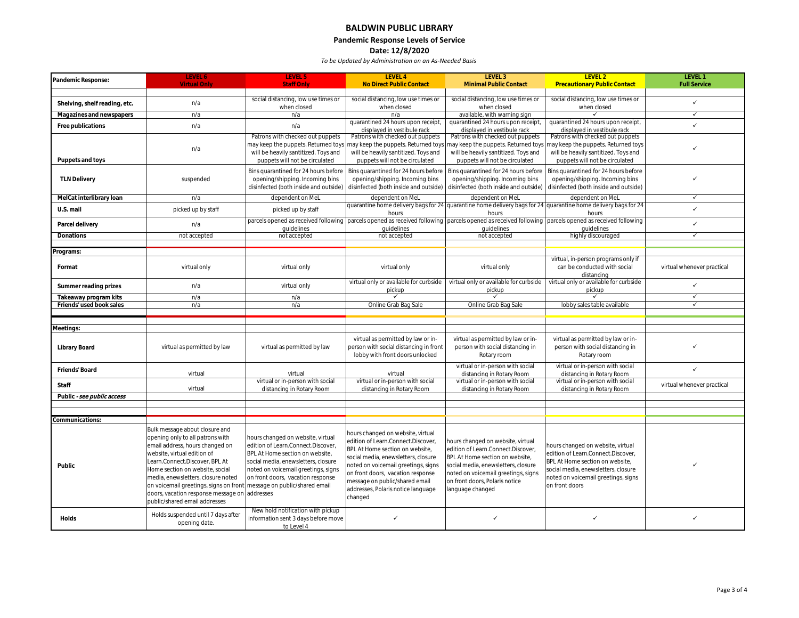### **BALDWIN PUBLIC LIBRARY Pandemic Response Levels of Service Date: 12/8/2020**

| Pandemic Response:            | LEVEL 6                                | LEVEL 5                               | LEVEL 4                                | LEVEL 3                                | LEVEL 2                                                                                                        | LEVEL 1                    |
|-------------------------------|----------------------------------------|---------------------------------------|----------------------------------------|----------------------------------------|----------------------------------------------------------------------------------------------------------------|----------------------------|
|                               | Virtual Only                           | <b>Staff Only</b>                     | No Direct Public Contact               | Minimal Public Contact                 | <b>Precautionary Public Contact</b>                                                                            | <b>Full Service</b>        |
|                               |                                        | social distancing, low use times or   | social distancing, low use times or    | social distancing, low use times or    | social distancing, low use times or                                                                            |                            |
| Shelving, shelf reading, etc. | n/a                                    | when closed                           | when closed                            | when closed                            | when closed                                                                                                    | $\checkmark$               |
| Magazines and newspapers      | n/a                                    | n/a                                   | n/a                                    | available, with warning sign           | ✓                                                                                                              | $\checkmark$               |
|                               | n/a                                    | n/a                                   | quarantined 24 hours upon receipt,     | quarantined 24 hours upon receipt,     | quarantined 24 hours upon receipt,                                                                             | ✓                          |
| Free publications             |                                        |                                       | displayed in vestibule rack            | displayed in vestibule rack            | displayed in vestibule rack                                                                                    |                            |
|                               |                                        | Patrons with checked out puppets      | Patrons with checked out puppets       | Patrons with checked out puppets       | Patrons with checked out puppets                                                                               |                            |
|                               | n/a                                    | nay keep the puppets. Returned toys   | nay keep the puppets. Returned toys    | may keep the puppets. Returned toys    | nay keep the puppets. Returned toys                                                                            | ✓                          |
|                               |                                        | will be heavily santitized. Toys and  | will be heavily santitized. Toys and   | will be heavily santitized. Toys and   | will be heavily santitized. Toys and                                                                           |                            |
| Puppets and toys              |                                        | puppets will not be circulated        | puppets will not be circulated         | puppets will not be circulated         | puppets will not be circulated                                                                                 |                            |
|                               |                                        | Bins quarantined for 24 hours before  | Bins quarantined for 24 hours before   | Bins quarantined for 24 hours before   | Bins quarantined for 24 hours before                                                                           |                            |
| <b>TLN Delivery</b>           | suspended                              | opening/shipping. Incoming bins       | opening/shipping. Incoming bins        | opening/shipping. Incoming bins        | opening/shipping. Incoming bins                                                                                | $\checkmark$               |
|                               |                                        | disinfected (both inside and outside) | disinfected (both inside and outside)  | disinfected (both inside and outside)  | disinfected (both inside and outside)                                                                          |                            |
| MelCat interlibrary loan      | n/a                                    | dependent on MeL                      | dependent on MeL                       | dependent on MeL                       | dependent on MeL                                                                                               | $\checkmark$               |
| U.S. mail                     | picked up by staff                     | picked up by staff                    |                                        |                                        | quarantine home delivery bags for 24 quarantine home delivery bags for 24 quarantine home delivery bags for 24 | ✓                          |
|                               |                                        |                                       | hours                                  | hours                                  | hours                                                                                                          |                            |
| Parcel delivery               | n/a                                    | parcels opened as received following  | parcels opened as received following   |                                        | parcels opened as received following parcels opened as received following                                      | $\checkmark$               |
|                               |                                        | quidelines                            | quidelines                             | quidelines                             | quidelines                                                                                                     | $\checkmark$               |
| Donations                     | not accepted                           | not accepted                          | not accepted                           | not accepted                           | highly discouraged                                                                                             |                            |
| Programs:                     |                                        |                                       |                                        |                                        |                                                                                                                |                            |
|                               |                                        |                                       |                                        |                                        | virtual, in-person programs only if                                                                            |                            |
| Format                        | virtual only                           | virtual only                          | virtual only                           | virtual only                           | can be conducted with social                                                                                   | virtual whenever practical |
|                               |                                        |                                       |                                        |                                        | distancing                                                                                                     |                            |
|                               | n/a                                    | virtual only                          | virtual only or available for curbside | virtual only or available for curbside | virtual only or available for curbside                                                                         | $\checkmark$               |
| Summer reading prizes         |                                        |                                       | pickup                                 | pickup                                 | pickup                                                                                                         |                            |
| Takeaway program kits         | n/a                                    | n/a                                   | $\checkmark$                           |                                        | $\checkmark$                                                                                                   | $\checkmark$               |
| Friends' used book sales      | n/a                                    | n/a                                   | Online Grab Bag Sale                   | Online Grab Bag Sale                   | lobby sales table available                                                                                    | $\checkmark$               |
|                               |                                        |                                       |                                        |                                        |                                                                                                                |                            |
| Meetings:                     |                                        |                                       |                                        |                                        |                                                                                                                |                            |
|                               |                                        |                                       |                                        |                                        |                                                                                                                |                            |
|                               |                                        |                                       | virtual as permitted by law or in-     | virtual as permitted by law or in-     | virtual as permitted by law or in-                                                                             |                            |
| Library Board                 | virtual as permitted by law            | virtual as permitted by law           | person with social distancing in front | person with social distancing in       | person with social distancing in                                                                               | ✓                          |
|                               |                                        |                                       | lobby with front doors unlocked        | Rotary room                            | Rotary room                                                                                                    |                            |
| Friends' Board                |                                        |                                       |                                        | virtual or in-person with social       | virtual or in-person with social                                                                               | $\checkmark$               |
|                               | virtual                                | virtual                               | virtual                                | distancing in Rotary Room              | distancing in Rotary Room                                                                                      |                            |
| Staff                         |                                        | virtual or in-person with social      | virtual or in-person with social       | virtual or in-person with social       | virtual or in-person with social                                                                               | virtual whenever practical |
|                               | virtual                                | distancing in Rotary Room             | distancing in Rotary Room              | distancing in Rotary Room              | distancing in Rotary Room                                                                                      |                            |
| Public - see public access    |                                        |                                       |                                        |                                        |                                                                                                                |                            |
|                               |                                        |                                       |                                        |                                        |                                                                                                                |                            |
| Communications:               |                                        |                                       |                                        |                                        |                                                                                                                |                            |
|                               | Bulk message about closure and         |                                       |                                        |                                        |                                                                                                                |                            |
|                               | opening only to all patrons with       | hours changed on website, virtual     | hours changed on website, virtual      |                                        |                                                                                                                |                            |
|                               | email address, hours changed on        | edition of Learn.Connect.Discover,    | edition of Learn.Connect.Discover.     | hours changed on website, virtual      | hours changed on website, virtual                                                                              |                            |
|                               | website, virtual edition of            | BPL At Home section on website,       | BPL At Home section on website,        | edition of Learn.Connect.Discover,     | edition of Learn.Connect.Discover                                                                              |                            |
|                               | Learn.Connect.Discover, BPL At         | social media, enewsletters, closure   | social media, enewsletters, closure    | BPL At Home section on website.        | BPL At Home section on website,                                                                                |                            |
| Public                        | Home section on website, social        | noted on voicemail greetings, signs   | noted on voicemail greetings, signs    | social media, enewsletters, closure    | social media, enewsletters, closure                                                                            |                            |
|                               | media, enewsletters, closure noted     | on front doors, vacation response     | on front doors, vacation response      | noted on voicemail greetings, signs    | noted on voicemail greetings, signs                                                                            |                            |
|                               | on voicemail greetings, signs on front | message on public/shared email        | message on public/shared email         | on front doors, Polaris notice         | on front doors                                                                                                 |                            |
|                               | doors, vacation response message on    | addresses                             | addresses, Polaris notice language     | language changed                       |                                                                                                                |                            |
|                               | public/shared email addresses          |                                       | changed                                |                                        |                                                                                                                |                            |
|                               |                                        | New hold notification with pickup     |                                        |                                        |                                                                                                                |                            |
| Holds                         | Holds suspended until 7 days after     | information sent 3 days before move   | ✓                                      | ✓                                      | $\checkmark$                                                                                                   | $\checkmark$               |
|                               | opening date.                          | to Level 4                            |                                        |                                        |                                                                                                                |                            |